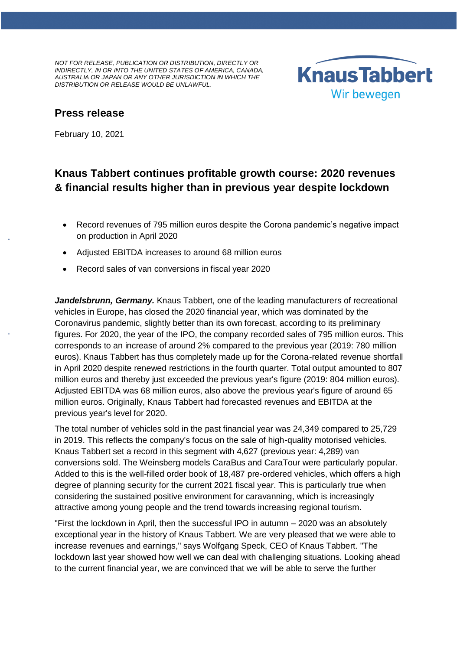*NOT FOR RELEASE, PUBLICATION OR DISTRIBUTION, DIRECTLY OR INDIRECTLY, IN OR INTO THE UNITED STATES OF AMERICA, CANADA, AUSTRALIA OR JAPAN OR ANY OTHER JURISDICTION IN WHICH THE DISTRIBUTION OR RELEASE WOULD BE UNLAWFUL.*



# **Press release**

February 10, 2021

# **Knaus Tabbert continues profitable growth course: 2020 revenues & financial results higher than in previous year despite lockdown**

- Record revenues of 795 million euros despite the Corona pandemic's negative impact on production in April 2020
- Adjusted EBITDA increases to around 68 million euros
- Record sales of van conversions in fiscal year 2020

*Jandelsbrunn, Germany,* Knaus Tabbert, one of the leading manufacturers of recreational vehicles in Europe, has closed the 2020 financial year, which was dominated by the Coronavirus pandemic, slightly better than its own forecast, according to its preliminary figures. For 2020, the year of the IPO, the company recorded sales of 795 million euros. This corresponds to an increase of around 2% compared to the previous year (2019: 780 million euros). Knaus Tabbert has thus completely made up for the Corona-related revenue shortfall in April 2020 despite renewed restrictions in the fourth quarter. Total output amounted to 807 million euros and thereby just exceeded the previous year's figure (2019: 804 million euros). Adjusted EBITDA was 68 million euros, also above the previous year's figure of around 65 million euros. Originally, Knaus Tabbert had forecasted revenues and EBITDA at the previous year's level for 2020.

The total number of vehicles sold in the past financial year was 24,349 compared to 25,729 in 2019. This reflects the company's focus on the sale of high-quality motorised vehicles. Knaus Tabbert set a record in this segment with 4,627 (previous year: 4,289) van conversions sold. The Weinsberg models CaraBus and CaraTour were particularly popular. Added to this is the well-filled order book of 18,487 pre-ordered vehicles, which offers a high degree of planning security for the current 2021 fiscal year. This is particularly true when considering the sustained positive environment for caravanning, which is increasingly attractive among young people and the trend towards increasing regional tourism.

"First the lockdown in April, then the successful IPO in autumn – 2020 was an absolutely exceptional year in the history of Knaus Tabbert. We are very pleased that we were able to increase revenues and earnings," says Wolfgang Speck, CEO of Knaus Tabbert. "The lockdown last year showed how well we can deal with challenging situations. Looking ahead to the current financial year, we are convinced that we will be able to serve the further